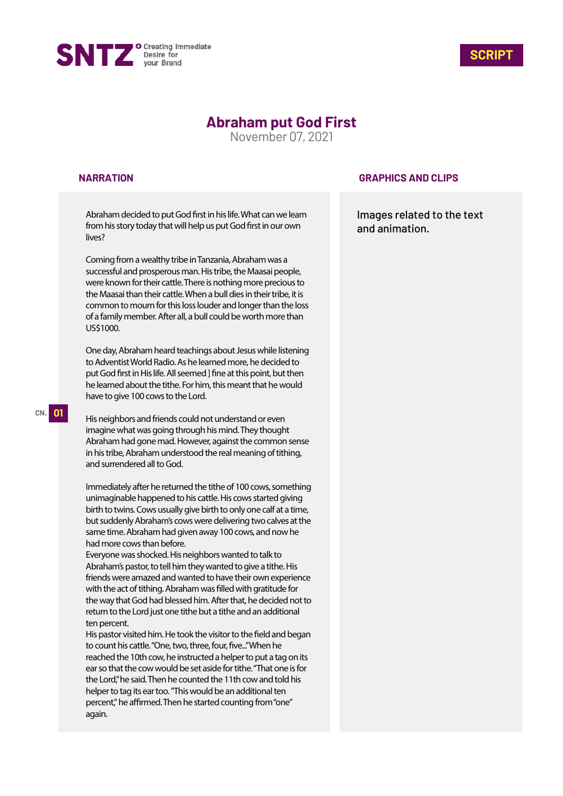



# **Abraham put God First**

November 07, 2021

### **NARRATION**

Abraham decided to put God first in his life. What can we learn from his story today that will help us put God first in our own lives?

Coming from a wealthy tribe in Tanzania, Abraham was a successful and prosperous man. His tribe, the Maasai people, were known for their cattle. There is nothing more precious to the Maasai than their cattle. When a bull dies in their tribe, it is common to mourn for this loss louder and longer than the loss of a family member. After all, a bull could be worth more than US\$1000.

One day, Abraham heard teachings about Jesus while listening to Adventist World Radio. As he learned more, he decided to put God first in His life. All seemed ] fine at this point, but then he learned about the tithe. For him, this meant that he would have to give 100 cows to the Lord.

His neighbors and friends could not understand or even imagine what was going through his mind. They thought Abraham had gone mad. However, against the common sense in his tribe, Abraham understood the real meaning of tithing, and surrendered all to God.

Immediately after he returned the tithe of 100 cows, something unimaginable happened to his cattle. His cows started giving birth to twins. Cows usually give birth to only one calf at a time, but suddenly Abraham's cows were delivering two calves at the same time. Abraham had given away 100 cows, and now he had more cows than before.

Everyone was shocked. His neighbors wanted to talk to Abraham's pastor, to tell him they wanted to give a tithe. His friends were amazed and wanted to have their own experience with the act of tithing. Abraham was filled with gratitude for the way that God had blessed him. After that, he decided not to return to the Lord just one tithe but a tithe and an additional ten percent.

His pastor visited him. He took the visitor to the field and began to count his cattle. "One, two, three, four, five..." When he reached the 10th cow, he instructed a helper to put a tag on its ear so that the cow would be set aside for tithe. "That one is for the Lord," he said. Then he counted the 11th cow and told his helper to tag its ear too. "This would be an additional ten percent," he affirmed. Then he started counting from "one" again.

### **GRAPHICS AND CLIPS**

Images related to the text and animation.